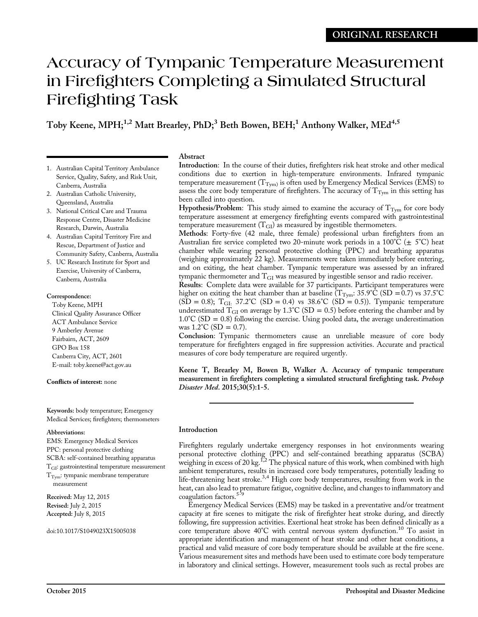# Accuracy of Tympanic Temperature Measurement in Firefighters Completing a Simulated Structural Firefighting Task

# Toby Keene, MPH;<sup>1,2</sup> Matt Brearley, PhD;<sup>3</sup> Beth Bowen, BEH;<sup>1</sup> Anthony Walker, MEd<sup>4,5</sup>

- 1. Australian Capital Territory Ambulance Service, Quality, Safety, and Risk Unit, Canberra, Australia
- 2. Australian Catholic University, Queensland, Australia
- 3. National Critical Care and Trauma Response Centre, Disaster Medicine Research, Darwin, Australia
- 4. Australian Capital Territory Fire and Rescue, Department of Justice and Community Safety, Canberra, Australia
- 5. UC Research Institute for Sport and Exercise, University of Canberra, Canberra, Australia

# Correspondence:

Toby Keene, MPH Clinical Quality Assurance Officer ACT Ambulance Service 9 Amberley Avenue Fairbairn, ACT, 2609 GPO Box 158 Canberra City, ACT, 2601 E-mail: [toby.keene@act.gov.au](mailto:toby.keene@act.gov.au)

# Conflicts of interest: none

Keywords: body temperature; Emergency Medical Services; firefighters; thermometers

#### Abbreviations:

EMS: Emergency Medical Services PPC: personal protective clothing SCBA: self-contained breathing apparatus TGI: gastrointestinal temperature measurement  $T_{\text{Tym}}$ : tympanic membrane temperature measurement

Received: May 12, 2015 Revised: July 2, 2015 Accepted: July 8, 2015

#### doi:10.1017/S1049023X15005038

# Abstract

Introduction: In the course of their duties, firefighters risk heat stroke and other medical conditions due to exertion in high-temperature environments. Infrared tympanic temperature measurement ( $T_{Tvm}$ ) is often used by Emergency Medical Services (EMS) to assess the core body temperature of firefighters. The accuracy of  $T_{\text{Tym}}$  in this setting has been called into question.

Hypothesis/Problem: This study aimed to examine the accuracy of  $T_{\text{Tym}}$  for core body temperature assessment at emergency firefighting events compared with gastrointestinal temperature measurement  $(T_{GI})$  as measured by ingestible thermometers.

Methods: Forty-five (42 male, three female) professional urban firefighters from an Australian fire service completed two 20-minute work periods in a  $100^{\circ}C (\pm 5^{\circ}C)$  heat chamber while wearing personal protective clothing (PPC) and breathing apparatus (weighing approximately 22 kg). Measurements were taken immediately before entering, and on exiting, the heat chamber. Tympanic temperature was assessed by an infrared tympanic thermometer and TGI was measured by ingestible sensor and radio receiver.

Results: Complete data were available for 37 participants. Participant temperatures were higher on exiting the heat chamber than at baseline ( $T_{\text{Tym}}$ : 35.9°C (SD = 0.7) vs 37.5°C  $(SD = 0.8)$ ; T<sub>GI:</sub> 37.2°C (SD = 0.4) vs 38.6°C (SD = 0.5)). Tympanic temperature underestimated  $T_{GI}$  on average by 1.3°C (SD = 0.5) before entering the chamber and by  $1.0^{\circ}$ C (SD = 0.8) following the exercise. Using pooled data, the average underestimation was  $1.2^{\circ}$ C (SD = 0.7).

Conclusion: Tympanic thermometers cause an unreliable measure of core body temperature for firefighters engaged in fire suppression activities. Accurate and practical measures of core body temperature are required urgently.

Keene T, Brearley M, Bowen B, Walker A. Accuracy of tympanic temperature measurement in firefighters completing a simulated structural firefighting task. Prehosp Disaster Med. 2015;30(5):1-5.

# Introduction

Firefighters regularly undertake emergency responses in hot environments wearing personal protective clothing (PPC) and self-contained breathing apparatus (SCBA) weighing in excess of [2](#page-3-0)0 kg.<sup>1,2</sup> The physical nature of this work, when combined with high ambient temperatures, results in increased core body temperatures, potentially leading to life-threatening heat stroke.<sup>[3,4](#page-3-0)</sup> High core body temperatures, resulting from work in the heat, can also lead to premature fatigue, cognitive decline, and changes to inflammatory and coagulation factors.<sup>529</sup>

Emergency Medical Services (EMS) may be tasked in a preventative and/or treatment capacity at fire scenes to mitigate the risk of firefighter heat stroke during, and directly following, fire suppression activities. Exertional heat stroke has been defined clinically as a core temperature above 40°C with central nervous system dysfunction.<sup>[10](#page-3-0)</sup> To assist in appropriate identification and management of heat stroke and other heat conditions, a practical and valid measure of core body temperature should be available at the fire scene. Various measurement sites and methods have been used to estimate core body temperature in laboratory and clinical settings. However, measurement tools such as rectal probes are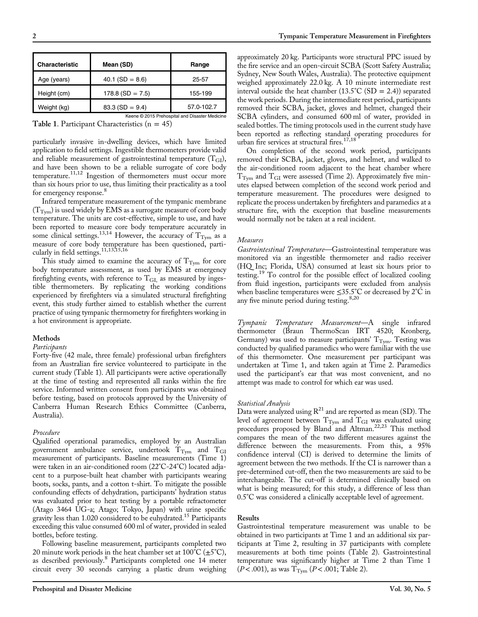| <b>Characteristic</b>                          | Mean (SD)          | Range      |  |  |
|------------------------------------------------|--------------------|------------|--|--|
| Age (years)                                    | $40.1$ (SD = 8.6)  | 25-57      |  |  |
| Height (cm)                                    | $178.8$ (SD = 7.5) | 155-199    |  |  |
| Weight (kg)                                    | $83.3(SD = 9.4)$   | 57.0-102.7 |  |  |
| Keene © 2015 Prehospital and Disaster Medicine |                    |            |  |  |

Table 1. Participant Characteristics  $(n = 45)$ 

particularly invasive in-dwelling devices, which have limited application to field settings. Ingestible thermometers provide valid and reliable measurement of gastrointestinal temperature  $(T_{GI})$ , and have been shown to be a reliable surrogate of core body temperature.<sup>[11](#page-3-0),[12](#page-3-0)</sup> Ingestion of thermometers must occur more than six hours prior to use, thus limiting their practicality as a tool for emergency response.<sup>[8](#page-3-0)</sup>

Infrared temperature measurement of the tympanic membrane  $(T_{Tvm})$  is used widely by EMS as a surrogate measure of core body temperature. The units are cost-effective, simple to use, and have been reported to measure core body temperature accurately in some clinical settings.<sup>[13,14](#page-3-0)</sup> However, the accuracy of  $T_{\text{Tym}}$  as a measure of core body temperature has been questioned, particularly in field settings. $11,13,15,16$ 

This study aimed to examine the accuracy of  $T_{\text{Tym}}$  for core body temperature assessment, as used by EMS at emergency firefighting events, with reference to  $T_{GI}$  as measured by ingestible thermometers. By replicating the working conditions experienced by firefighters via a simulated structural firefighting event, this study further aimed to establish whether the current practice of using tympanic thermometry for firefighters working in a hot environment is appropriate.

#### Methods

#### Participants

Forty-five (42 male, three female) professional urban firefighters from an Australian fire service volunteered to participate in the current study (Table 1). All participants were active operationally at the time of testing and represented all ranks within the fire service. Informed written consent from participants was obtained before testing, based on protocols approved by the University of Canberra Human Research Ethics Committee (Canberra, Australia).

#### Procedure

Qualified operational paramedics, employed by an Australian government ambulance service, undertook  $T_{\text{Tym}}$  and  $T_{\text{GI}}$ measurement of participants. Baseline measurements (Time 1) were taken in an air-conditioned room (22°C-24°C) located adjacent to a purpose-built heat chamber with participants wearing boots, socks, pants, and a cotton t-shirt. To mitigate the possible confounding effects of dehydration, participants' hydration status was evaluated prior to heat testing by a portable refractometer (Atago 3464 UG-a; Atago; Tokyo, Japan) with urine specific gravity less than 1.020 considered to be euhydrated.<sup>[15](#page-3-0)</sup> Participants exceeding this value consumed 600 ml of water, provided in sealed bottles, before testing.

Following baseline measurement, participants completed two 20 minute work periods in the heat chamber set at  $100^{\circ}C (\pm 5^{\circ}C)$ , as described previously.<sup>[8](#page-3-0)</sup> Participants completed one 14 meter circuit every 30 seconds carrying a plastic drum weighing approximately 20 kg. Participants wore structural PPC issued by the fire service and an open-circuit SCBA (Scott Safety Australia; Sydney, New South Wales, Australia). The protective equipment weighed approximately 22.0 kg. A 10 minute intermediate rest interval outside the heat chamber  $(13.5^{\circ}\text{C (SD = 2.4)})$  separated the work periods. During the intermediate rest period, participants removed their SCBA, jacket, gloves and helmet, changed their SCBA cylinders, and consumed 600 ml of water, provided in sealed bottles. The timing protocols used in the current study have been reported as reflecting standard operating procedures for urban fire services at structural fires.<sup>17,18</sup>

On completion of the second work period, participants removed their SCBA, jacket, gloves, and helmet, and walked to the air-conditioned room adjacent to the heat chamber where  $T_{\text{Tym}}$  and  $T_{\text{GI}}$  were assessed (Time 2). Approximately five minutes elapsed between completion of the second work period and temperature measurement. The procedures were designed to replicate the process undertaken by firefighters and paramedics at a structure fire, with the exception that baseline measurements would normally not be taken at a real incident.

#### Measures

Gastrointestinal Temperature—Gastrointestinal temperature was monitored via an ingestible thermometer and radio receiver (HQ Inc; Florida, USA) consumed at least six hours prior to testing.[19](#page-3-0) To control for the possible effect of localized cooling from fluid ingestion, participants were excluded from analysis when baseline temperatures were ≤35.5°C or decreased by 2°C in any five minute period during testing. $8,20$  $8,20$  $8,20$ 

Tympanic Temperature Measurement—A single infrared thermometer (Braun ThermoScan IRT 4520; Kronberg, Germany) was used to measure participants'  $T_{\text{Tvm}}$ . Testing was conducted by qualified paramedics who were familiar with the use of this thermometer. One measurement per participant was undertaken at Time 1, and taken again at Time 2. Paramedics used the participant's ear that was most convenient, and no attempt was made to control for which ear was used.

#### Statistical Analysis

Data were analyzed using  $R^{21}$  $R^{21}$  $R^{21}$  and are reported as mean (SD). The level of agreement between  $\rm T_{\rm {Tym}}$  and  $\rm T_{GI}$  was evaluated using procedures proposed by Bland and Altman.<sup>[22,23](#page-3-0)</sup> This method compares the mean of the two different measures against the difference between the measurements. From this, a 95% confidence interval (CI) is derived to determine the limits of agreement between the two methods. If the CI is narrower than a pre-determined cut-off, then the two measurements are said to be interchangeable. The cut-off is determined clinically based on what is being measured; for this study, a difference of less than 0.5°C was considered a clinically acceptable level of agreement.

### Results

Gastrointestinal temperature measurement was unable to be obtained in two participants at Time 1 and an additional six participants at Time 2, resulting in 37 participants with complete measurements at both time points ([Table 2\)](#page-2-0). Gastrointestinal temperature was significantly higher at Time 2 than Time 1  $(P < .001)$ , as was  $T_{\text{Tym}}$   $(P < .001;$  [Table 2\)](#page-2-0).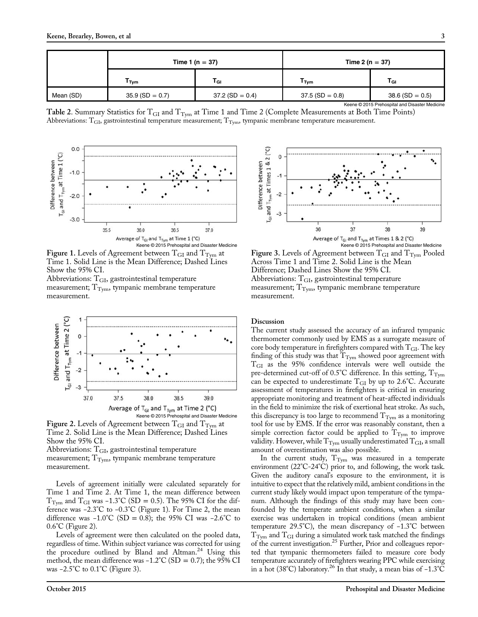<span id="page-2-0"></span>

|                                                | Time 1 ( $n = 37$ ) |                   | Time 2 ( $n = 37$ ) |                   |  |
|------------------------------------------------|---------------------|-------------------|---------------------|-------------------|--|
|                                                | Г <sub>Тут</sub>    | T <sub>GI</sub>   | T <sub>Tym</sub>    | l Gl              |  |
| Mean (SD)                                      | $35.9$ (SD = 0.7)   | $37.2$ (SD = 0.4) | $37.5$ (SD = 0.8)   | $38.6$ (SD = 0.5) |  |
| Keene @ 2015 Prehospital and Disaster Medicine |                     |                   |                     |                   |  |

Table 2. Summary Statistics for  $T_{GI}$  and  $T_{Tym}$  at Time 1 and Time 2 (Complete Measurements at Both Time Points) Abbreviations:  $T_{GI}$ , gastrointestinal temperature measurement;  $T_{Tym}$ , tympanic membrane temperature measurement.



Figure 1. Levels of Agreement between  $T_{GI}$  and  $T_{Tvm}$  at Time 1. Solid Line is the Mean Difference; Dashed Lines Show the 95% CI.

Abbreviations:  $T<sub>GI</sub>$ , gastrointestinal temperature measurement;  $T_{Tvm}$ , tympanic membrane temperature measurement.



Figure 2. Levels of Agreement between  $T_{GI}$  and  $T_{Tym}$  at Time 2. Solid Line is the Mean Difference; Dashed Lines Show the 95% CI.

Abbreviations:  $T<sub>GI</sub>$ , gastrointestinal temperature measurement;  $T_{\text{Tym}}$ , tympanic membrane temperature measurement.

Levels of agreement initially were calculated separately for Time 1 and Time 2. At Time 1, the mean difference between T<sub>Tym</sub> and T<sub>GI</sub> was -1.3°C (SD = 0.5). The 95% CI for the difference was −2.3°C to −0.3°C (Figure 1). For Time 2, the mean difference was  $-1.0^{\circ}\text{C}$  (SD = 0.8); the 95% CI was  $-2.6^{\circ}\text{C}$  to 0.6°C (Figure 2).

Levels of agreement were then calculated on the pooled data, regardless of time. Within subject variance was corrected for using the procedure outlined by Bland and Altman.<sup>[24](#page-3-0)</sup> Using this method, the mean difference was  $-1.2^{\circ}\text{C}$  (SD = 0.7); the 95% CI was −2.5°C to 0.1°C (Figure 3).



Figure 3. Levels of Agreement between  $T_{GI}$  and  $T_{Tvm}$  Pooled Across Time 1 and Time 2. Solid Line is the Mean Difference; Dashed Lines Show the 95% CI. Abbreviations:  $\mathrm{T_{GI}}$ , gastrointestinal temperature measurement;  $\mathrm{T_{Tym}}$ , tympanic membrane temperature measurement.

# **Discussion**

The current study assessed the accuracy of an infrared tympanic thermometer commonly used by EMS as a surrogate measure of core body temperature in firefighters compared with  $T_{GI}$ . The key finding of this study was that  $T_{\text{Tym}}$  showed poor agreement with TGI as the 95% confidence intervals were well outside the pre-determined cut-off of  $0.5^{\circ}$ C difference. In this setting,  $T_{Tvm}$ can be expected to underestimate  $T_{GI}$  by up to 2.6°C. Accurate assessment of temperatures in firefighters is critical in ensuring appropriate monitoring and treatment of heat-affected individuals in the field to minimize the risk of exertional heat stroke. As such, this discrepancy is too large to recommend  $\mathrm{T_{Tym}}$  as a monitoring tool for use by EMS. If the error was reasonably constant, then a simple correction factor could be applied to  $T_{\rm{Tym}}$  to improve validity. However, while  $T_{\text{Tym}}$  usually underestimated  $T_{\text{GI}}$ , a small amount of overestimation was also possible.

In the current study,  $T_{\text{Tym}}$  was measured in a temperate environment (22°C-24°C) prior to, and following, the work task. Given the auditory canal's exposure to the environment, it is intuitive to expect that the relatively mild, ambient conditions in the current study likely would impact upon temperature of the tympanum. Although the findings of this study may have been confounded by the temperate ambient conditions, when a similar exercise was undertaken in tropical conditions (mean ambient temperature 29.5°C), the mean discrepancy of −1.3°C between  $T_{\text{Tym}}$  and  $T_{\text{GI}}$  during a simulated work task matched the findings of the current investigation.<sup>25</sup> Further, Prior and colleagues reported that tympanic thermometers failed to measure core body temperature accurately of firefighters wearing PPC while exercising in a hot (38°C) laboratory.<sup>26</sup> In that study, a mean bias of −1.3°C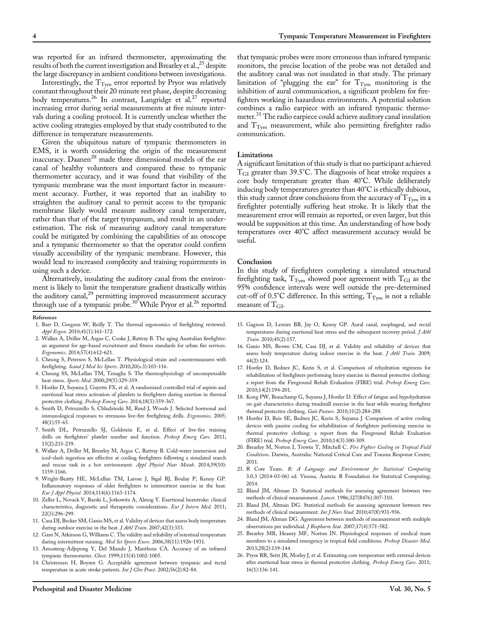<span id="page-3-0"></span>was reported for an infrared thermometer, approximating the results of both the current investigation and Brearley et al.,  $^{25}$  despite the large discrepancy in ambient conditions between investigations.

Interestingly, the  $\rm T_{\rm Tym}$  error reported by Pryor was relatively constant throughout their 20 minute rest phase, despite decreasing body temperatures.<sup>26</sup> In contrast, Langridge et al.<sup>27</sup> reported increasing error during serial measurements at five minute intervals during a cooling protocol. It is currently unclear whether the active cooling strategies employed by that study contributed to the difference in temperature measurements.

Given the ubiquitous nature of tympanic thermometers in EMS, it is worth considering the origin of the measurement inaccuracy. Daanen<sup>[28](#page-4-0)</sup> made three dimensional models of the ear canal of healthy volunteers and compared these to tympanic thermometer accuracy, and it was found that visibility of the tympanic membrane was the most important factor in measurement accuracy. Further, it was reported that an inability to straighten the auditory canal to permit access to the tympanic membrane likely would measure auditory canal temperature, rather than that of the target tympanum, and result in an underestimation. The risk of measuring auditory canal temperature could be mitigated by combining the capabilities of an otoscope and a tympanic thermometer so that the operator could confirm visually accessibility of the tympanic membrane. However, this would lead to increased complexity and training requirements in using such a device.

Alternatively, insulating the auditory canal from the environment is likely to limit the temperature gradient drastically within the auditory canal,<sup>[29](#page-4-0)</sup> permitting improved measurement accuracy through use of a tympanic probe.<sup>30</sup> While Pryor et al.<sup>26</sup> reported

#### References

- 1. Barr D, Gregson W, Reilly T. The thermal ergonomics of firefighting reviewed. Appl Ergon. 2010;41(1):161-172.
- 2. Walker A, Driller M, Argus C, Cooke J, Rattray B. The aging Australian firefighter: an argument for age-based recruitment and fitness standards for urban fire services. Ergonomics. 2014;57(4):612-621.
- 3. Cheung S, Petersen S, McLellan T. Physiological strain and countermeasures with firefighting. Scand J Med Sci Sports. 2010;20(s.3):103-116.
- 4. Cheung SS, McLellan TM, Tenaglia S. The thermophysiology of uncompensable heat stress. Sports Med. 2000;29(5):329-359.
- 5. Hostler D, Suyama J, Guyette FX, et al. A randomized controlled trial of aspirin and exertional heat stress activation of platelets in firefighters during exertion in thermal protective clothing. Prehosp Emerg Care. 2014;18(3):359-367.
- 6. Smith D, Petruzzello S, Chludzinski M, Reed J, Woods J. Selected hormonal and immunological responses to strenuous live-fire firefighting drills. Ergonomics. 2005; 48(1):55-65.
- 7. Smith DL, Petruzzello SJ, Goldstein E, et al. Effect of live-fire training drills on firefighters' platelet number and function. Prehosp Emerg Care. 2011; 15(2):233-239.
- 8. Walker A, Driller M, Brearley M, Argus C, Rattray B. Cold-water immersion and iced-slush ingestion are effective at cooling firefighters following a simulated search and rescue task in a hot environment. Appl Physiol Nutr Metab. 2014;39(10): 1159-1166.
- 9. Wright-Beatty HE, McLellan TM, Larose J, Sigal RJ, Boulay P, Kenny GP. Inflammatory responses of older firefighters to intermittent exercise in the heat. Eur J Appl Physiol. 2014;114(6):1163-1174.
- 10. Zeller L, Novack V, Barski L, Jotkowitz A, Almog Y. Exertional heatstroke: clinical characteristics, diagnostic and therapeutic considerations. Eur J Intern Med. 2011; 22(3):296-299.
- 11. Casa DJ, Becker SM, Ganio MS, et al. Validity of devices that assess body temperature during outdoor exercise in the heat. *J Athl Train*. 2007;42(3):333.
- 12. Gant N, Atkinson G, Williams C. The validity and reliability of intestinal temperature during intermittent running. Med Sci Sports Exerc. 2006;38(11):1926-1931.
- 13. Amoateng-Adjepong Y, Del Mundo J, Manthous CA. Accuracy of an infrared tympanic thermometer. Chest. 1999;115(4):1002-1005.
- 14. Christensen H, Boysen G. Acceptable agreement between tympanic and rectal temperature in acute stroke patients. Int J Clin Pract. 2002;56(2):82-84.

that tympanic probes were more erroneous than infrared tympanic monitors, the precise location of the probe was not detailed and the auditory canal was not insulated in that study. The primary limitation of "plugging the ear" for  $T_{\text{Tym}}$  monitoring is the inhibition of aural communication, a significant problem for firefighters working in hazardous environments. A potential solution combines a radio earpiece with an infrared tympanic thermo-meter.<sup>[31](#page-4-0)</sup> The radio earpiece could achieve auditory canal insulation and  $T_{\text{Tvm}}$  measurement, while also permitting firefighter radio communication.

#### Limitations

A significant limitation of this study is that no participant achieved  $T<sub>GI</sub>$  greater than 39.5°C. The diagnosis of heat stroke requires a core body temperature greater than 40°C. While deliberately inducing body temperatures greater than 40°C is ethically dubious, this study cannot draw conclusions from the accuracy of  $T_{Tvm}$  in a firefighter potentially suffering heat stroke. It is likely that the measurement error will remain as reported, or even larger, but this would be supposition at this time. An understanding of how body temperatures over 40°C affect measurement accuracy would be useful.

#### Conclusion

In this study of firefighters completing a simulated structural firefighting task,  $T_{\text{Tym}}$  showed poor agreement with  $T_{\text{GI}}$  as the 95% confidence intervals were well outside the pre-determined cut-off of 0.5°C difference. In this setting,  $T_{\text{Tvm}}$  is not a reliable measure of  $T_{\text{GI}}$ .

- 15. Gagnon D, Lemire BB, Jay O, Kenny GP. Aural canal, esophageal, and rectal temperatures during exertional heat stress and the subsequent recovery period. *J Athl* Train. 2010;45(2):157.
- 16. Ganio MS, Brown CM, Casa DJ, et al. Validity and reliability of devices that assess body temperature during indoor exercise in the heat. *J Athl Train*. 2009; 44(2):124.
- 17. Hostler D, Bednez JC, Kerin S, et al. Comparison of rehydration regimens for rehabilitation of firefighters performing heavy exercise in thermal protective clothing: a report from the Fireground Rehab Evaluation (FIRE) trial. Prehosp Emerg Care. 2010;14(2):194-201.
- 18. Kong PW, Beauchamp G, Suyama J, Hostler D. Effect of fatigue and hypohydration on gait characteristics during treadmill exercise in the heat while wearing firefighter thermal protective clothing. Gait Posture. 2010;31(2):284-288.
- 19. Hostler D, Reis SE, Bednez JC, Kerin S, Suyama J. Comparison of active cooling devices with passive cooling for rehabilitation of firefighters performing exercise in thermal protective clothing: a report from the Fireground Rehab Evaluation (FIRE) trial. Prehosp Emerg Care. 2010;14(3):300-309.
- 20. Brearley M, Norton I, Trewin T, Mitchell C. Fire Fighter Cooling in Tropical Field Conditions. Darwin, Australia: National Critical Care and Trauma Response Centre; 2011.
- 21. R Core Team. R: A Language and Environment for Statistical Computing 3.0.3 (2014-03-06) ed. Vienna, Austria: R Foundation for Statistical Computing; 2014.
- 22. Bland JM, Altman D. Statistical methods for assessing agreement between two methods of clinical measurement. Lancet. 1986;327(8476):307-310.
- 23. Bland JM, Altman DG. Statistical methods for assessing agreement between two methods of clinical measurement. Int J Nurs Stud. 2010;47(8):931-936.
- 24. Bland JM, Altman DG. Agreement between methods of measurement with multiple observations per individual. J Biopharm Stat. 2007;17(4):571-582.
- 25. Brearley MB, Heaney MF, Norton IN. Physiological responses of medical team members to a simulated emergency in tropical field conditions. Prehosp Disaster Med. 2013;28(2):139-144.
- 26. Pryor RR, Seitz JR, Morley J, et al. Estimating core temperature with external devices after exertional heat stress in thermal protective clothing. Prehosp Emerg Care. 2011; 16(1):136-141.